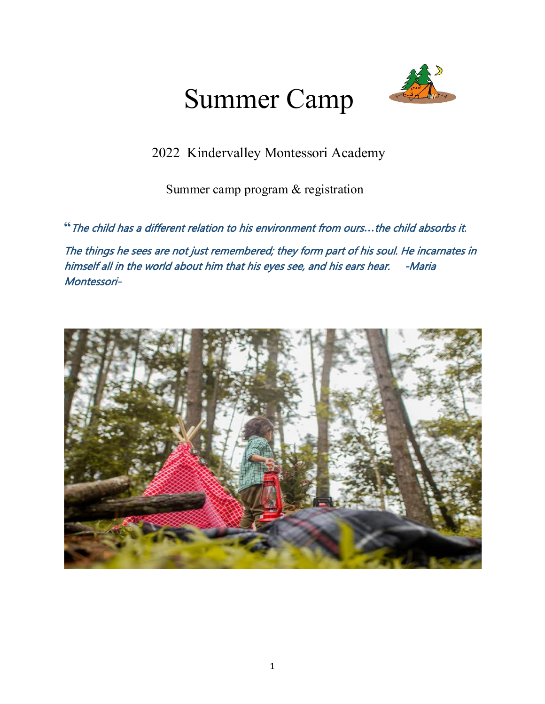# Summer Camp



2022 Kindervalley Montessori Academy

Summer camp program & registration

**"**The child has a different relation to his environment from ours*…*the child absorbs it.

The things he sees are not just remembered; they form part of his soul. He incarnates in himself all in the world about him that his eyes see, and his ears hear. - Maria Montessori-

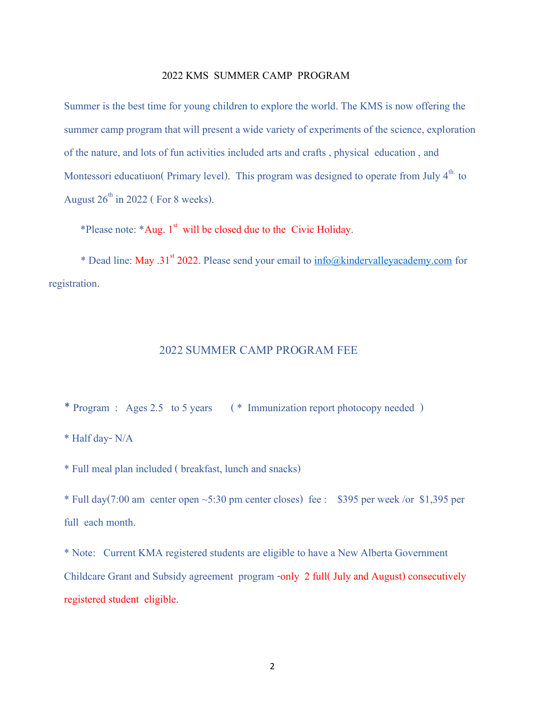#### 2022 KMS SUMMER CAMP PROGRAM

Summer is the best time for young children to explore the world. The KMS is now offering the summer camp program that will present a wide variety of experiments of the science, exploration of the nature, and lots of fun activities included arts and crafts , physical education , and Montessori educatiuon( Primary level). This program was designed to operate from July  $4<sup>th</sup>$  to August  $26^{th}$  in 2022 (For 8 weeks).

\*Please note: \*Aug. 1<sup>st</sup> will be closed due to the Civic Holiday.

\* Dead line: May .31<sup>st</sup> 2022. Please send your email to [info@kindervalleyacademy.com](mailto:info@kindervalleyacademy.com) for registration.

#### 2022 SUMMER CAMP PROGRAM FEE

\* Program : Ages 2.5 to 5 years ( \* Immunization report photocopy needed )

\* Half day- N/A

\* Full meal plan included ( breakfast, lunch and snacks)

\* Full day(7:00 am center open  $\sim$  5:30 pm center closes) fee : \$395 per week /or \$1,395 per full each month.

\* Note: Current KMA registered students are eligible to have a New Alberta Government Childcare Grant and Subsidy agreement program -only 2 full( July and August) consecutively registered student eligible.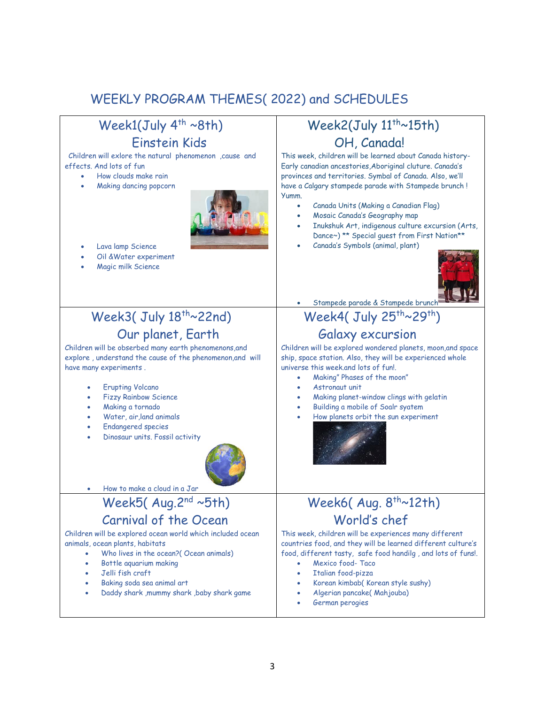## WEEKLY PROGRAM THEMES( 2022) and SCHEDULES

| Week1(July $4^{th} \sim 8th$ )                                                                                                                                                                                                                                                                                                                                               | Week2(July 11 <sup>th</sup> ~15th)                                                                                                                                                                                                                                                                                                                                                                                                                                    |
|------------------------------------------------------------------------------------------------------------------------------------------------------------------------------------------------------------------------------------------------------------------------------------------------------------------------------------------------------------------------------|-----------------------------------------------------------------------------------------------------------------------------------------------------------------------------------------------------------------------------------------------------------------------------------------------------------------------------------------------------------------------------------------------------------------------------------------------------------------------|
| Einstein Kids                                                                                                                                                                                                                                                                                                                                                                | OH, Canada!                                                                                                                                                                                                                                                                                                                                                                                                                                                           |
| Children will exlore the natural phenomenon , cause and<br>effects. And lots of fun<br>How clouds make rain<br>Making dancing popcorn                                                                                                                                                                                                                                        | This week, children will be learned about Canada history-<br>Early canadian ancestories, Aboriginal cluture. Canada's<br>provinces and territories. Symbal of Canada. Also, we'll<br>have a Calgary stampede parade with Stampede brunch!<br>Yumm.<br>Canada Units (Making a Canadian Flag)<br>Mosaic Canada's Geography map<br>Inukshuk Art, indigenous culture excursion (Arts,<br>Dance~) ** Special guest from First Nation**<br>Canada's Symbols (animal, plant) |
| Lava lamp Science<br>Oil & Water experiment<br>Magic milk Science                                                                                                                                                                                                                                                                                                            | Stampede parade & Stampede brunch                                                                                                                                                                                                                                                                                                                                                                                                                                     |
| Week3(July 18 <sup>th</sup> ~22nd)                                                                                                                                                                                                                                                                                                                                           | Week4( July $25^{th} \sim 29^{th}$ )                                                                                                                                                                                                                                                                                                                                                                                                                                  |
| Our planet, Earth<br>Children will be obserbed many earth phenomenons, and<br>explore, understand the cause of the phenomenon, and will<br>have many experiments.<br><b>Erupting Volcano</b><br><b>Fizzy Rainbow Science</b><br>Making a tornado<br>Water, air, land animals<br><b>Endangered species</b><br>Dinosaur units. Fossil activity<br>How to make a cloud in a Jar | Galaxy excursion<br>Children will be explored wondered planets, moon, and space<br>ship, space station. Also, they will be experienced whole<br>universe this week.and lots of fun!.<br>Making" Phases of the moon"<br>Astronaut unit<br>Making planet-window clings with gelatin<br>Building a mobile of Soalr syatem<br>How planets orbit the sun experiment                                                                                                        |
| Week5(Aug.2 <sup>nd</sup> ~5th)                                                                                                                                                                                                                                                                                                                                              | Week6(Aug. 8 <sup>th</sup> ~12th)                                                                                                                                                                                                                                                                                                                                                                                                                                     |
| Carnival of the Ocean<br>Children will be explored ocean world which included ocean<br>animals, ocean plants, habitats<br>Who lives in the ocean?(Ocean animals)<br>$\bullet$<br>Bottle aquarium making<br>Jelli fish craft<br>Baking soda sea animal art<br>Daddy shark , mummy shark , baby shark game                                                                     | World's chef<br>This week, children will be experiences many different<br>countries food, and they will be learned different culture's<br>food, different tasty, safe food handilg, and lots of funs!.<br>Mexico food-Taco<br>Italian food-pizza<br>Korean kimbab(Korean style sushy)<br>Algerian pancake(Mahjouba)<br>German perogies                                                                                                                                |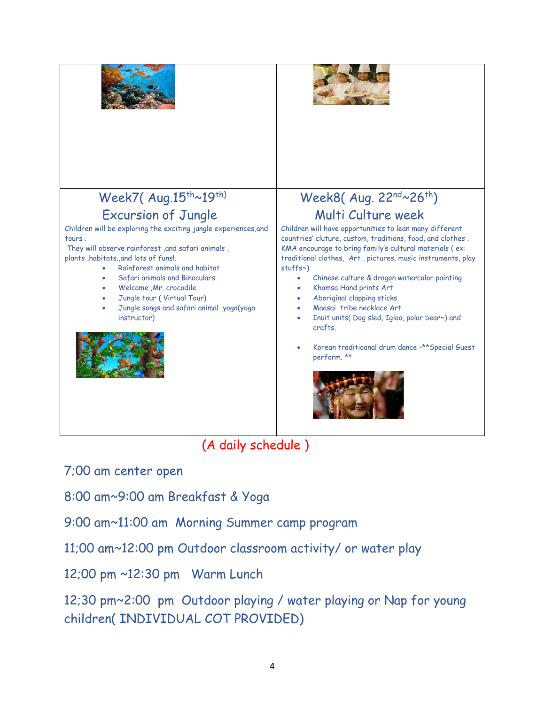

7;00 am center open

8:00 am~9:00 am Breakfast & Yoga

9:00 am~11:00 am Morning Summer camp program

11;00 am~12:00 pm Outdoor classroom activity/ or water play

12;00 pm ~12:30 pm Warm Lunch

12;30 pm~2:00 pm Outdoor playing / water playing or Nap for young children( INDIVIDUAL COT PROVIDED)